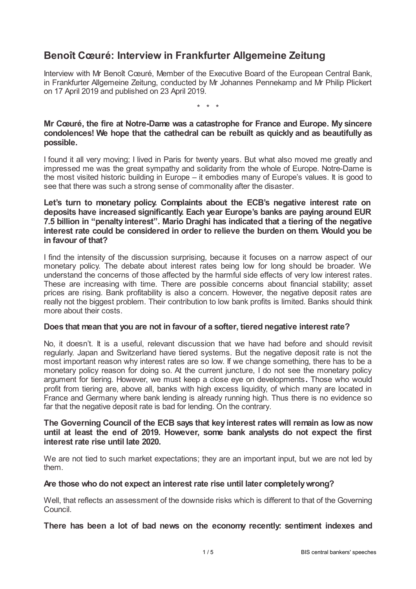# **Benoît Cœuré: Interview in Frankfurter Allgemeine Zeitung**

Interview with Mr Benoît Cœuré, Member of the Executive Board of the European Central Bank, in Frankfurter Allgemeine Zeitung, conducted by Mr Johannes Pennekamp and Mr Philip Plickert on 17 April 2019 and published on 23 April 2019.

\* \* \*

# **Mr Cœuré, the fire at Notre-Dame was a catastrophe for France and Europe. My sincere condolences! We hope that the cathedral can be rebuilt as quickly and as beautifully as possible.**

I found it all very moving; I lived in Paris for twenty years. But what also moved me greatly and impressed me was the great sympathy and solidarity from the whole of Europe. Notre-Dame is the most visited historic building in Europe – it embodies many of Europe's values. It is good to see that there was such a strong sense of commonality after the disaster.

# **Let's turn to monetary policy. Complaints about the ECB's negative interest rate on deposits have increased significantly. Each year Europe's banks are paying around EUR 7.5 billion in "penalty interest". Mario Draghi has indicated that a tiering of the negative interest rate could be considered in order to relieve the burden on them. Would you be in favour of that?**

I find the intensity of the discussion surprising, because it focuses on a narrow aspect of our monetary policy. The debate about interest rates being low for long should be broader. We understand the concerns of those affected by the harmful side effects of very low interest rates. These are increasing with time. There are possible concerns about financial stability; asset prices are rising. Bank profitability is also a concern. However, the negative deposit rates are really not the biggest problem. Their contribution to low bank profits is limited. Banks should think more about their costs.

#### **Does that mean that you are not in favour of a softer, tiered negative interest rate?**

No, it doesn't. It is a useful, relevant discussion that we have had before and should revisit regularly. Japan and Switzerland have tiered systems. But the negative deposit rate is not the most important reason why interest rates are so low. If we change something, there has to be a monetary policy reason for doing so. At the current juncture, I do not see the monetary policy argument for tiering. However, we must keep a close eye on developments**.** Those who would profit from tiering are, above all, banks with high excess liquidity, of which many are located in France and Germany where bank lending is already running high. Thus there is no evidence so far that the negative deposit rate is bad for lending. On the contrary.

# **The Governing Council of the ECB says that key interest rates will remain as lowas now until at least the end of 2019. However, some bank analysts do not expect the first interest rate rise until late 2020.**

We are not tied to such market expectations; they are an important input, but we are not led by them.

# **Are those who do not expect an interest rate rise until later completelywrong?**

Well, that reflects an assessment of the downside risks which is different to that of the Governing Council.

**There has been a lot of bad news on the economy recently: sentiment indexes and**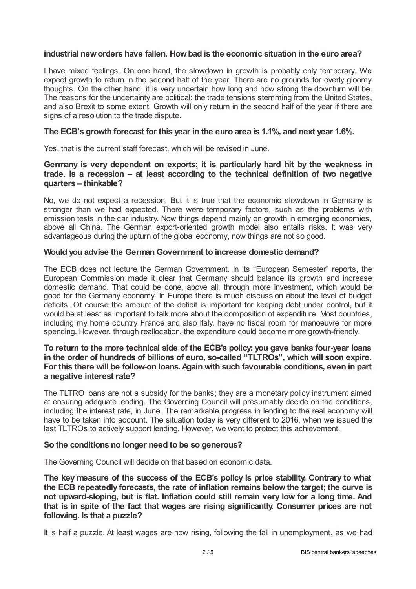# **industrial neworders have fallen. Howbad is the economic situation in the euro area?**

I have mixed feelings. On one hand, the slowdown in growth is probably only temporary. We expect growth to return in the second half of the year. There are no grounds for overly gloomy thoughts. On the other hand, it is very uncertain how long and how strong the downturn will be. The reasons for the uncertainty are political: the trade tensions stemming from the United States, and also Brexit to some extent. Growth will only return in the second half of the year if there are signs of a resolution to the trade dispute.

# **The ECB's growth forecast for this year in the euro area is 1.1%, and next year 1.6%.**

Yes, that is the current staff forecast, which will be revised in June.

# **Germany is very dependent on exports; it is particularly hard hit by the weakness in trade. Is a recession – at least according to the technical definition of two negative quarters – thinkable?**

No, we do not expect a recession. But it is true that the economic slowdown in Germany is stronger than we had expected. There were temporary factors, such as the problems with emission tests in the car industry. Now things depend mainly on growth in emerging economies, above all China. The German export-oriented growth model also entails risks. It was very advantageous during the upturn of the global economy, now things are not so good.

# **Would you advise the German Government to increase domestic demand?**

The ECB does not lecture the German Government. In its "European Semester" reports, the European Commission made it clear that Germany should balance its growth and increase domestic demand. That could be done, above all, through more investment, which would be good for the Germany economy. In Europe there is much discussion about the level of budget deficits. Of course the amount of the deficit is important for keeping debt under control, but it would be at least as important to talk more about the composition of expenditure. Most countries, including my home country France and also Italy, have no fiscal room for manoeuvre for more spending. However, through reallocation, the expenditure could become more growth-friendly.

# **To return to the more technical side of the ECB's policy: you gave banks four-year loans in the order of hundreds of billions of euro, so-called "TLTROs", which will soon expire. For this there will be follow-on loans.Again with such favourable conditions, even in part a negative interest rate?**

The TLTRO loans are not a subsidy for the banks; they are a monetary policy instrument aimed at ensuring adequate lending. The Governing Council will presumably decide on the conditions, including the interest rate, in June. The remarkable progress in lending to the real economy will have to be taken into account. The situation today is very different to 2016, when we issued the last TLTROs to actively support lending. However, we want to protect this achievement.

#### **So the conditions no longer need to be so generous?**

The Governing Council will decide on that based on economic data.

**The key measure of the success of the ECB's policy is price stability. Contrary to what the ECB repeatedly forecasts, the rate of inflation remains belowthe target; the curve is not upward-sloping, but is flat. Inflation could still remain very low for a long time. And that is in spite of the fact that wages are rising significantly. Consumer prices are not following. Is that a puzzle?**

It is half a puzzle. At least wages are now rising, following the fall in unemployment**,** as we had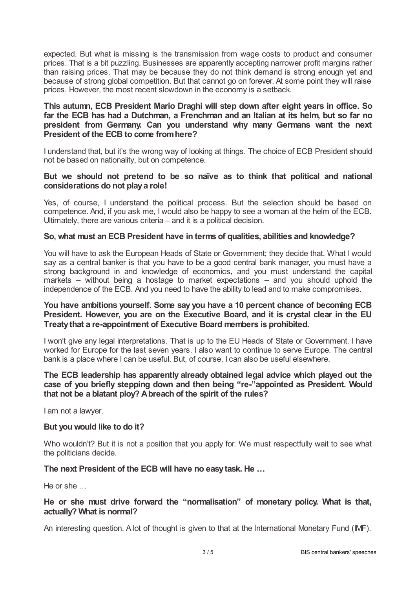expected. But what is missing is the transmission from wage costs to product and consumer prices. That is a bit puzzling. Businesses are apparently accepting narrower profit margins rather than raising prices. That may be because they do not think demand is strong enough yet and because of strong global competition. But that cannot go on forever. At some point they will raise prices. However, the most recent slowdown in the economy is a setback.

# **This autumn, ECB President Mario Draghi will step down after eight years in office. So far the ECB has had a Dutchman, a Frenchman and an Italian at its helm, but so far no president from Germany. Can you understand why many Germans want the next President of the ECB to come fromhere?**

I understand that, but it's the wrong way of looking at things. The choice of ECB President should not be based on nationality, but on competence.

#### **But we should not pretend to be so naïve as to think that political and national considerations do not playa role!**

Yes, of course, I understand the political process. But the selection should be based on competence. And, if you ask me, I would also be happy to see a woman at the helm of the ECB. Ultimately, there are various criteria – and it is a political decision.

#### **So, what must an ECB President have in terms of qualities, abilities and knowledge?**

You will have to ask the European Heads of State or Government; they decide that. What I would say as a central banker is that you have to be a good central bank manager, you must have a strong background in and knowledge of economics, and you must understand the capital markets – without being a hostage to market expectations – and you should uphold the independence of the ECB. And you need to have the ability to lead and to make compromises.

# **You have ambitions yourself. Some say you have a 10 percent chance of becoming ECB President. However, you are on the Executive Board, and it is crystal clear in the EU Treatythat a re-appointment of Executive Board members is prohibited.**

I won't give any legal interpretations. That is up to the EU Heads of State or Government. I have worked for Europe for the last seven years. I also want to continue to serve Europe. The central bank is a place where I can be useful. But, of course, I can also be useful elsewhere.

# **The ECB leadership has apparently already obtained legal advice which played out the case of you briefly stepping down and then being "re-"appointed as President. Would that not be a blatant ploy? Abreach of the spirit of the rules?**

I am not a lawyer.

#### **But you would like to do it?**

Who wouldn't? But it is not a position that you apply for. We must respectfully wait to see what the politicians decide.

#### **The next President of the ECB will have no easytask. He …**

He or she …

# **He or she must drive forward the "normalisation" of monetary policy. What is that, actually? What is normal?**

An interesting question. A lot of thought is given to that at the International Monetary Fund (IMF).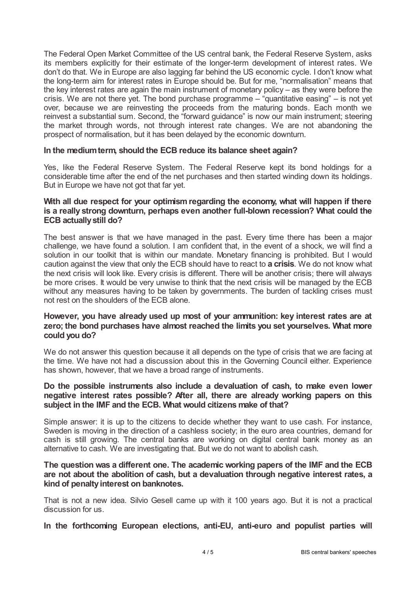The Federal Open Market Committee of the US central bank, the Federal Reserve System, asks its members explicitly for their estimate of the longer-term development of interest rates. We don't do that. We in Europe are also lagging far behind the US economic cycle. I don't know what the long-term aim for interest rates in Europe should be. But for me, "normalisation" means that the key interest rates are again the main instrument of monetary policy – as they were before the crisis. We are not there yet. The bond purchase programme – "quantitative easing" – is not yet over, because we are reinvesting the proceeds from the maturing bonds. Each month we reinvest a substantial sum. Second, the "forward guidance" is now our main instrument; steering the market through words, not through interest rate changes. We are not abandoning the prospect of normalisation, but it has been delayed by the economic downturn.

#### **In the mediumterm, should the ECB reduce its balance sheet again?**

Yes, like the Federal Reserve System. The Federal Reserve kept its bond holdings for a considerable time after the end of the net purchases and then started winding down its holdings. But in Europe we have not got that far yet.

#### **With all due respect for your optimismregarding the economy, what will happen if there is a really strong downturn, perhaps even another full-blown recession? What could the ECB actuallystill do?**

The best answer is that we have managed in the past. Every time there has been a major challenge, we have found a solution. I am confident that, in the event of a shock, we will find a solution in our toolkit that is within our mandate. Monetary financing is prohibited. But I would caution against the view that only the ECB should have to react to **a crisis**. We do not know what the next crisis will look like. Every crisis is different. There will be another crisis; there will always be more crises. It would be very unwise to think that the next crisis will be managed by the ECB without any measures having to be taken by governments. The burden of tackling crises must not rest on the shoulders of the ECB alone.

# **However, you have already used up most of your ammunition: key interest rates are at zero; the bond purchases have almost reached the limits you set yourselves. What more could you do?**

We do not answer this question because it all depends on the type of crisis that we are facing at the time. We have not had a discussion about this in the Governing Council either. Experience has shown, however, that we have a broad range of instruments.

# **Do the possible instruments also include a devaluation of cash, to make even lower negative interest rates possible? After all, there are already working papers on this subject in the IMF and the ECB. What would citizens make of that?**

Simple answer: it is up to the citizens to decide whether they want to use cash. For instance, Sweden is moving in the direction of a cashless society; in the euro area countries, demand for cash is still growing. The central banks are working on digital central bank money as an alternative to cash. We are investigating that. But we do not want to abolish cash.

# **The question was a different one. The academic working papers of the IMF and the ECB are not about the abolition of cash, but a devaluation through negative interest rates, a kind of penaltyinterest on banknotes.**

That is not a new idea. Silvio Gesell came up with it 100 years ago. But it is not a practical discussion for us.

**In the forthcoming European elections, anti-EU, anti-euro and populist parties will**